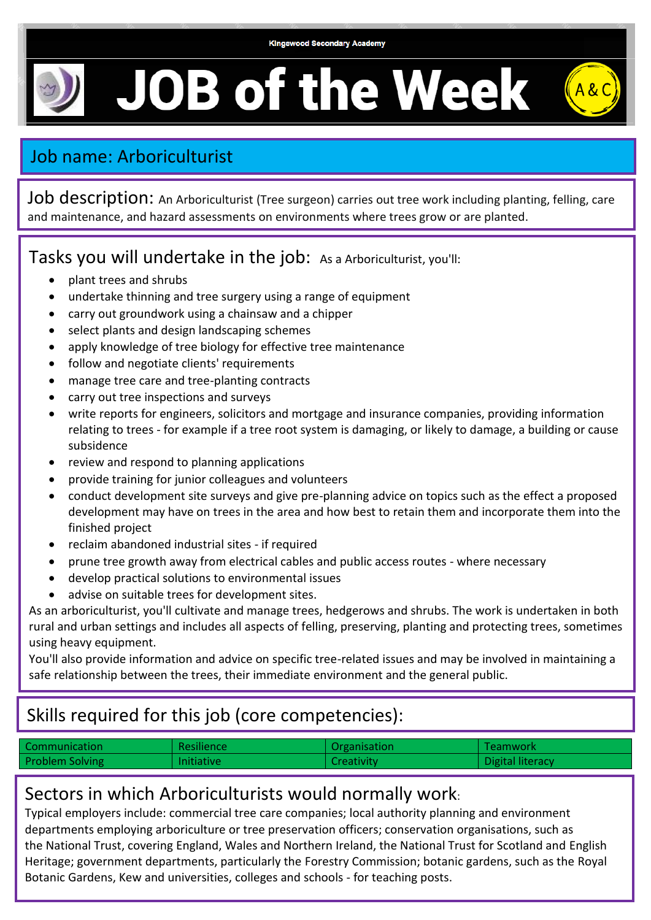#### **Kingswood Secondary Academy**

**JOB of the Week** 

# Job name: Arboriculturist

Job description: An Arboriculturist (Tree surgeon) carries out tree work including planting, felling, care and maintenance, and hazard assessments on environments where trees grow or are planted.

Tasks you will undertake in the job: As a Arboriculturist, you'll:

- plant trees and shrubs
- undertake thinning and tree surgery using a range of equipment
- carry out groundwork using a chainsaw and a chipper
- select plants and design landscaping schemes
- apply knowledge of tree biology for effective tree maintenance
- follow and negotiate clients' requirements
- manage tree care and tree-planting contracts
- carry out tree inspections and surveys
- write reports for engineers, solicitors and mortgage and insurance companies, providing information relating to trees - for example if a tree root system is damaging, or likely to damage, a building or cause subsidence
- review and respond to planning applications
- provide training for junior colleagues and volunteers
- conduct development site surveys and give pre-planning advice on topics such as the effect a proposed development may have on trees in the area and how best to retain them and incorporate them into the finished project
- reclaim abandoned industrial sites if required
- prune tree growth away from electrical cables and public access routes where necessary
- develop practical solutions to environmental issues
- advise on suitable trees for development sites.

As an arboriculturist, you'll cultivate and manage trees, hedgerows and shrubs. The work is undertaken in both rural and urban settings and includes all aspects of felling, preserving, planting and protecting trees, sometimes using heavy equipment.

You'll also provide information and advice on specific tree-related issues and may be involved in maintaining a safe relationship between the trees, their immediate environment and the general public.

## Skills required for this job (core competencies):

| Communication          | Resilience        | Organisation      | <b>Teamwork</b>  |
|------------------------|-------------------|-------------------|------------------|
| <b>Problem Solving</b> | <b>Initiative</b> | <b>Creativity</b> | Digital literacy |

#### Sectors in which Arboriculturists would normally work:

Typical employers include: commercial tree care companies; local authority planning and environment departments employing arboriculture or tree preservation officers; conservation organisations, such as the [National Trust,](http://www.nationaltrust.org.uk/) covering England, Wales and Northern Ireland, the National Trust for Scotland and [English](http://www.english-heritage.org.uk/)  [Heritage;](http://www.english-heritage.org.uk/) government departments, particularly the Forestry Commission; botanic gardens, such as the [Royal](http://www.kew.org/)  [Botanic Gardens, Kew](http://www.kew.org/) and universities, colleges and schools - for teaching posts.